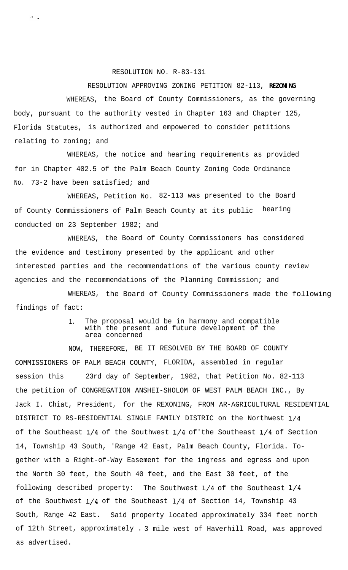## RESOLUTION NO. R-83-131

## RESOLUTION APPROVING ZONING PETITION 82-113, **REZONING**

WHEREAS, the Board of County Commissioners, as the governing body, pursuant to the authority vested in Chapter 163 and Chapter 125, Florida Statutes, is authorized and empowered to consider petitions relating to zoning; and

WHEREAS, the notice and hearing requirements as provided for in Chapter 402.5 of the Palm Beach County Zoning Code Ordinance No. 73-2 have been satisfied; and

WHEREAS, Petition No. 82-113 was presented to the Board of County Commissioners of Palm Beach County at its public hearing conducted on 23 September 1982; and

WHEREAS, the Board of County Commissioners has considered the evidence and testimony presented by the applicant and other interested parties and the recommendations of the various county review agencies and the recommendations of the Planning Commission; and

WHEREAS, the Board of County Commissioners made the following findings of fact:

## 1. The proposal would be in harmony and compatible with the present and future development of the area concerned

NOW, THEREFORE, BE IT RESOLVED BY THE BOARD OF COUNTY COMMISSIONERS OF PALM BEACH COUNTY, FLORIDA, assembled in regular session this 23rd day of September, 1982, that Petition No. 82-113 the petition of CONGREGATION ANSHEI-SHOLOM OF WEST PALM BEACH INC., By Jack I. Chiat, President, for the REXONING, FROM AR-AGRICULTURAL RESIDENTIAL DISTRICT TO RS-RESIDENTIAL SINGLE FAMILY DISTRIC on the Northwest l/4 of the Southeast l/4 of the Southwest l/4 of'the Southeast l/4 of Section 14, Township 43 South, 'Range 42 East, Palm Beach County, Florida. Together with a Right-of-Way Easement for the ingress and egress and upon the North 30 feet, the South 40 feet, and the East 30 feet, of the following described property: The Southwest  $1/4$  of the Southeast  $1/4$ of the Southwest l/4 of the Southeast l/4 of Section 14, Township 43 South, Range 42 East. Said property located approximately 334 feet north of 12th Street, approximately . 3 mile west of Haverhill Road, was approved as advertised.